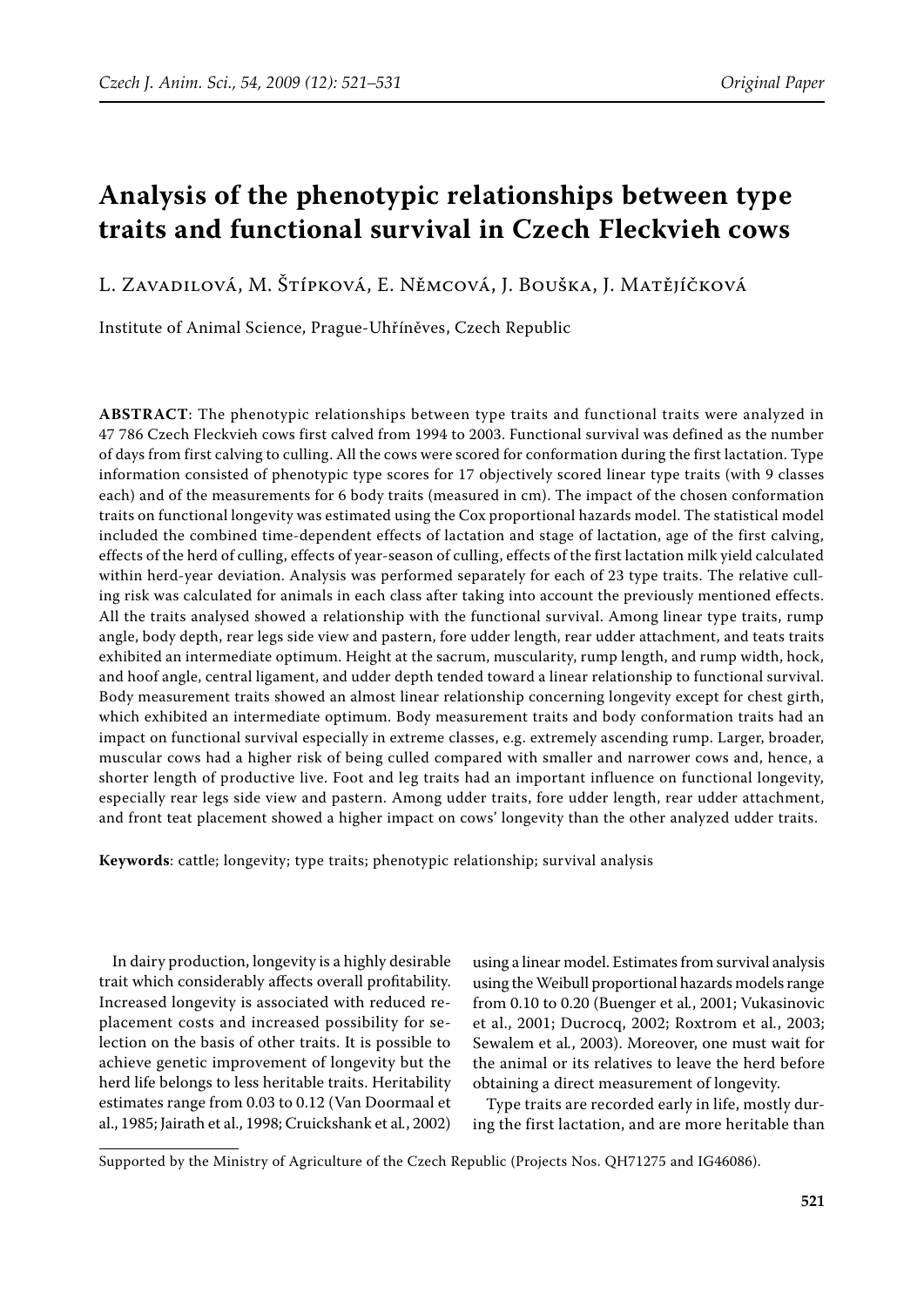# **Analysis of the phenotypic relationships between type traits and functional survival in Czech Fleckvieh cows**

L. Zavadilová, M. Štípková, E. Němcová, J. Bouška, J. Matějíčková

Institute of Animal Science, Prague-Uhříněves, Czech Republic

**ABSTRACT**: The phenotypic relationships between type traits and functional traits were analyzed in 47 786 Czech Fleckvieh cows first calved from 1994 to 2003. Functional survival was defined as the number of days from first calving to culling. All the cows were scored for conformation during the first lactation. Type information consisted of phenotypic type scores for 17 objectively scored linear type traits (with 9 classes each) and of the measurements for 6 body traits (measured in cm). The impact of the chosen conformation traits on functional longevity was estimated using the Cox proportional hazards model. The statistical model included the combined time-dependent effects of lactation and stage of lactation, age of the first calving, effects of the herd of culling, effects of year-season of culling, effects of the first lactation milk yield calculated within herd-year deviation. Analysis was performed separately for each of 23 type traits. The relative culling risk was calculated for animals in each class after taking into account the previously mentioned effects. All the traits analysed showed a relationship with the functional survival. Among linear type traits, rump angle, body depth, rear legs side view and pastern, fore udder length, rear udder attachment, and teats traits exhibited an intermediate optimum. Height at the sacrum, muscularity, rump length, and rump width, hock, and hoof angle, central ligament, and udder depth tended toward a linear relationship to functional survival. Body measurement traits showed an almost linear relationship concerning longevity except for chest girth, which exhibited an intermediate optimum. Body measurement traits and body conformation traits had an impact on functional survival especially in extreme classes, e.g. extremely ascending rump. Larger, broader, muscular cows had a higher risk of being culled compared with smaller and narrower cows and, hence, a shorter length of productive live. Foot and leg traits had an important influence on functional longevity, especially rear legs side view and pastern. Among udder traits, fore udder length, rear udder attachment, and front teat placement showed a higher impact on cows' longevity than the other analyzed udder traits.

**Keywords**: cattle; longevity; type traits; phenotypic relationship; survival analysis

In dairy production, longevity is a highly desirable trait which considerably affects overall profitability. Increased longevity is associated with reduced replacement costs and increased possibility for selection on the basis of other traits. It is possible to achieve genetic improvement of longevity but the herd life belongs to less heritable traits. Heritability estimates range from 0.03 to 0.12 (Van Doormaal et al., 1985; Jairath et al., 1998; Cruickshank et al*.*, 2002)

using a linear model. Estimates from survival analysis using the Weibull proportional hazards models range from 0.10 to 0.20 (Buenger et al*.*, 2001; Vukasinovic et al., 2001; Ducrocq, 2002; Roxtrom et al*.*, 2003; Sewalem et al*.*, 2003). Moreover, one must wait for the animal or its relatives to leave the herd before obtaining a direct measurement of longevity.

Type traits are recorded early in life, mostly during the first lactation, and are more heritable than

Supported by the Ministry of Agriculture of the Czech Republic (Projects Nos. QH71275 and IG46086).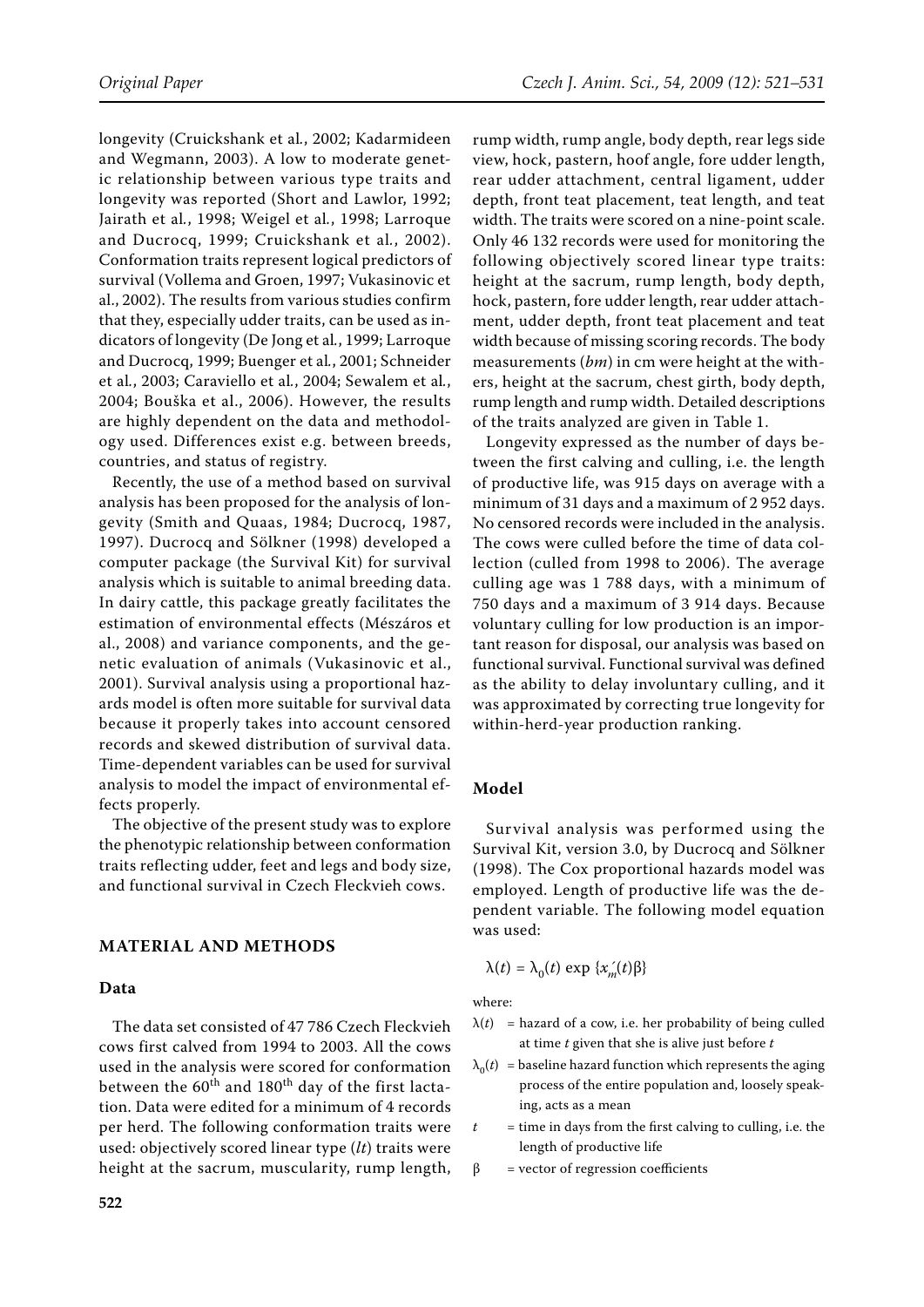longevity (Cruickshank et al*.*, 2002; Kadarmideen and Wegmann, 2003). A low to moderate genetic relationship between various type traits and longevity was reported (Short and Lawlor, 1992; Jairath et al*.*, 1998; Weigel et al*.*, 1998; Larroque and Ducrocq, 1999; Cruickshank et al*.*, 2002). Conformation traits represent logical predictors of survival (Vollema and Groen, 1997; Vukasinovic et al., 2002). The results from various studies confirm that they, especially udder traits, can be used as indicators of longevity (De Jong et al*.*, 1999; Larroque and Ducrocq, 1999; Buenger et al*.*, 2001; Schneider et al*.*, 2003; Caraviello et al*.*, 2004; Sewalem et al*.*, 2004; Bouška et al., 2006). However, the results are highly dependent on the data and methodology used. Differences exist e.g. between breeds, countries, and status of registry.

Recently, the use of a method based on survival analysis has been proposed for the analysis of longevity (Smith and Quaas, 1984; Ducrocq, 1987, 1997). Ducrocq and Sölkner (1998) developed a computer package (the Survival Kit) for survival analysis which is suitable to animal breeding data. In dairy cattle, this package greatly facilitates the estimation of environmental effects (Mészáros et al., 2008) and variance components, and the genetic evaluation of animals (Vukasinovic et al., 2001). Survival analysis using a proportional hazards model is often more suitable for survival data because it properly takes into account censored records and skewed distribution of survival data. Time-dependent variables can be used for survival analysis to model the impact of environmental effects properly.

The objective of the present study was to explore the phenotypic relationship between conformation traits reflecting udder, feet and legs and body size, and functional survival in Czech Fleckvieh cows.

## **MATERIAL AND METHODS**

#### **Data**

The data set consisted of 47 786 Czech Fleckvieh cows first calved from 1994 to 2003. All the cows used in the analysis were scored for conformation between the  $60^{th}$  and  $180^{th}$  day of the first lactation. Data were edited for a minimum of 4 records per herd. The following conformation traits were used: objectively scored linear type (*lt*) traits were height at the sacrum, muscularity, rump length, rump width, rump angle, body depth, rear legs side view, hock, pastern, hoof angle, fore udder length, rear udder attachment, central ligament, udder depth, front teat placement, teat length, and teat width. The traits were scored on a nine-point scale. Only 46 132 records were used for monitoring the following objectively scored linear type traits: height at the sacrum, rump length, body depth, hock, pastern, fore udder length, rear udder attachment, udder depth, front teat placement and teat width because of missing scoring records. The body measurements (*bm*) in cm were height at the withers, height at the sacrum, chest girth, body depth, rump length and rump width. Detailed descriptions of the traits analyzed are given in Table 1.

Longevity expressed as the number of days between the first calving and culling, i.e. the length of productive life, was 915 days on average with a minimum of 31 days and a maximum of 2 952 days. No censored records were included in the analysis. The cows were culled before the time of data collection (culled from 1998 to 2006). The average culling age was 1 788 days, with a minimum of 750 days and a maximum of 3 914 days. Because voluntary culling for low production is an important reason for disposal, our analysis was based on functional survival. Functional survival was defined as the ability to delay involuntary culling, and it was approximated by correcting true longevity for within-herd-year production ranking.

### **Model**

Survival analysis was performed using the Survival Kit, version 3.0, by Ducrocq and Sölkner (1998). The Cox proportional hazards model was employed. Length of productive life was the dependent variable. The following model equation was used:

$$
\lambda(t) = \lambda_0(t) \exp \left\{ x'_m(t) \beta \right\}
$$

where:

- $\lambda(t)$  = hazard of a cow, i.e. her probability of being culled at time *t* given that she is alive just before *t*
- $\lambda_0(t)$  = baseline hazard function which represents the aging process of the entire population and, loosely speaking, acts as a mean
- $t =$  time in days from the first calving to culling, i.e. the length of productive life
- $β = vector of regression coefficients$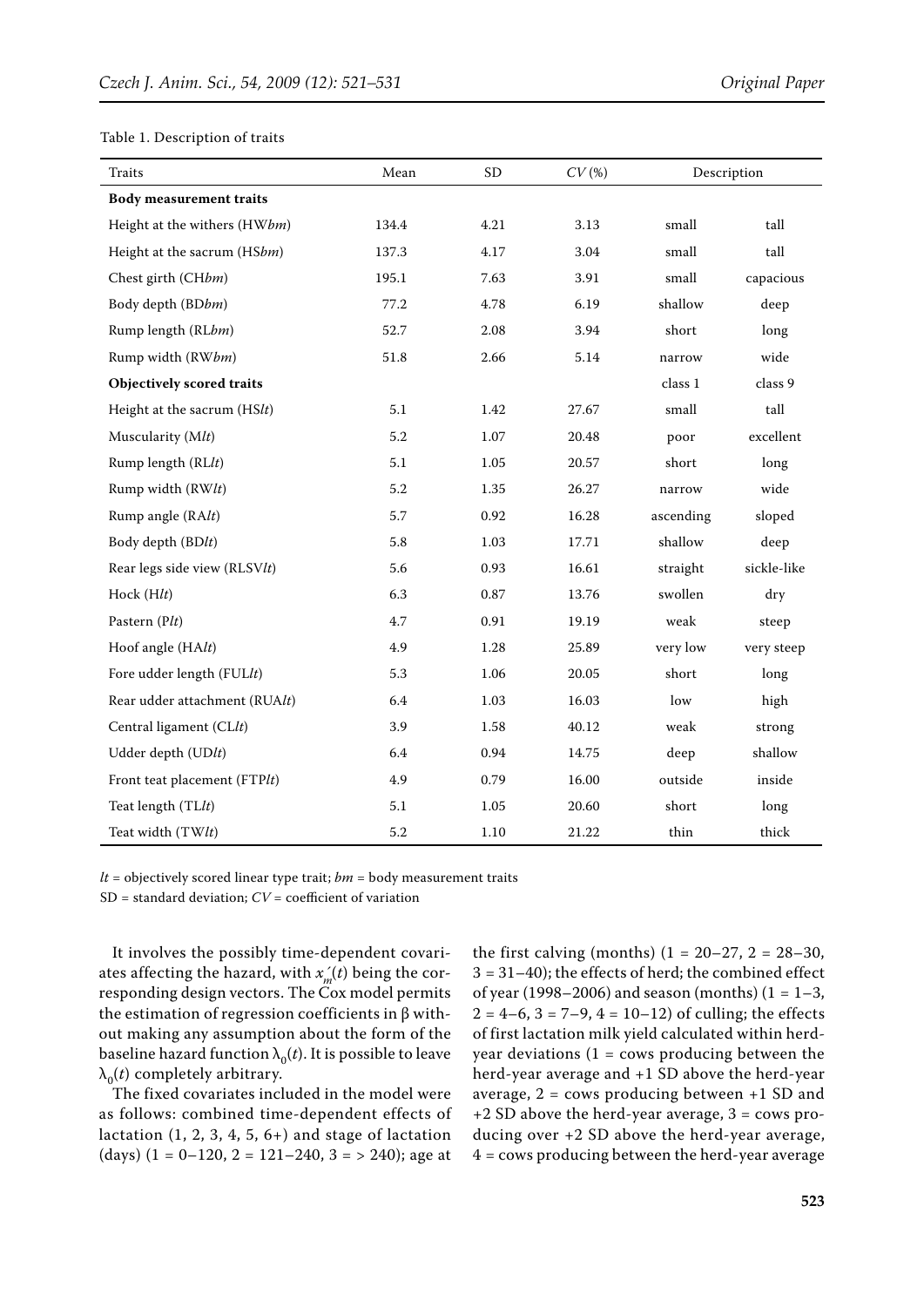#### Table 1. Description of traits

| Traits                         | Mean  | <b>SD</b> | CV(%) | Description |             |
|--------------------------------|-------|-----------|-------|-------------|-------------|
| <b>Body measurement traits</b> |       |           |       |             |             |
| Height at the withers (HWbm)   | 134.4 | 4.21      | 3.13  | small       | tall        |
| Height at the sacrum (HSbm)    | 137.3 | 4.17      | 3.04  | small       | tall        |
| Chest girth (CHbm)             | 195.1 | 7.63      | 3.91  | small       | capacious   |
| Body depth (BDbm)              | 77.2  | 4.78      | 6.19  | shallow     | deep        |
| Rump length (RLbm)             | 52.7  | 2.08      | 3.94  | short       | long        |
| Rump width (RWbm)              | 51.8  | 2.66      | 5.14  | narrow      | wide        |
| Objectively scored traits      |       |           |       | class 1     | class 9     |
| Height at the sacrum (HSlt)    | 5.1   | 1.42      | 27.67 | small       | tall        |
| Muscularity (Mlt)              | 5.2   | 1.07      | 20.48 | poor        | excellent   |
| Rump length (RLlt)             | 5.1   | 1.05      | 20.57 | short       | long        |
| Rump width (RWlt)              | 5.2   | 1.35      | 26.27 | narrow      | wide        |
| Rump angle (RAlt)              | 5.7   | 0.92      | 16.28 | ascending   | sloped      |
| Body depth (BDlt)              | 5.8   | 1.03      | 17.71 | shallow     | deep        |
| Rear legs side view (RLSVlt)   | 5.6   | 0.93      | 16.61 | straight    | sickle-like |
| Hock (Hlt)                     | 6.3   | 0.87      | 13.76 | swollen     | dry         |
| Pastern (Plt)                  | 4.7   | 0.91      | 19.19 | weak        | steep       |
| Hoof angle (HAlt)              | 4.9   | 1.28      | 25.89 | very low    | very steep  |
| Fore udder length (FULlt)      | 5.3   | 1.06      | 20.05 | short       | long        |
| Rear udder attachment (RUAlt)  | 6.4   | 1.03      | 16.03 | low         | high        |
| Central ligament (CLlt)        | 3.9   | 1.58      | 40.12 | weak        | strong      |
| Udder depth (UDlt)             | 6.4   | 0.94      | 14.75 | deep        | shallow     |
| Front teat placement (FTPlt)   | 4.9   | 0.79      | 16.00 | outside     | inside      |
| Teat length (TLlt)             | 5.1   | 1.05      | 20.60 | short       | long        |
| Teat width (TWlt)              | 5.2   | 1.10      | 21.22 | thin        | thick       |

 $lt$  = objectively scored linear type trait;  $bm$  = body measurement traits

SD = standard deviation; *CV* = coefficient of variation

It involves the possibly time-dependent covariates affecting the hazard, with  $x_m^{\prime\prime}(t)$  being the corresponding design vectors. The Cox model permits the estimation of regression coefficients in β without making any assumption about the form of the baseline hazard function  $\lambda_0(t)$ . It is possible to leave  $\lambda_0(t)$  completely arbitrary.

The fixed covariates included in the model were as follows: combined time-dependent effects of lactation  $(1, 2, 3, 4, 5, 6+)$  and stage of lactation (days)  $(1 = 0-120, 2 = 121-240, 3 = 240)$ ; age at the first calving (months)  $(1 = 20-27, 2 = 28-30,$  $3 = 31-40$ ; the effects of herd; the combined effect of year (1998–2006) and season (months) (1 =  $1-3$ ,  $2 = 4-6$ ,  $3 = 7-9$ ,  $4 = 10-12$ ) of culling; the effects of first lactation milk yield calculated within herdyear deviations  $(1 = \text{cows producing between the})$ herd-year average and +1 SD above the herd-year average,  $2 = \text{cows producing between } +1 \text{ SD and}$  $+2$  SD above the herd-year average,  $3 = \text{cows pro}$ ducing over +2 SD above the herd-year average, 4 = cows producing between the herd-year average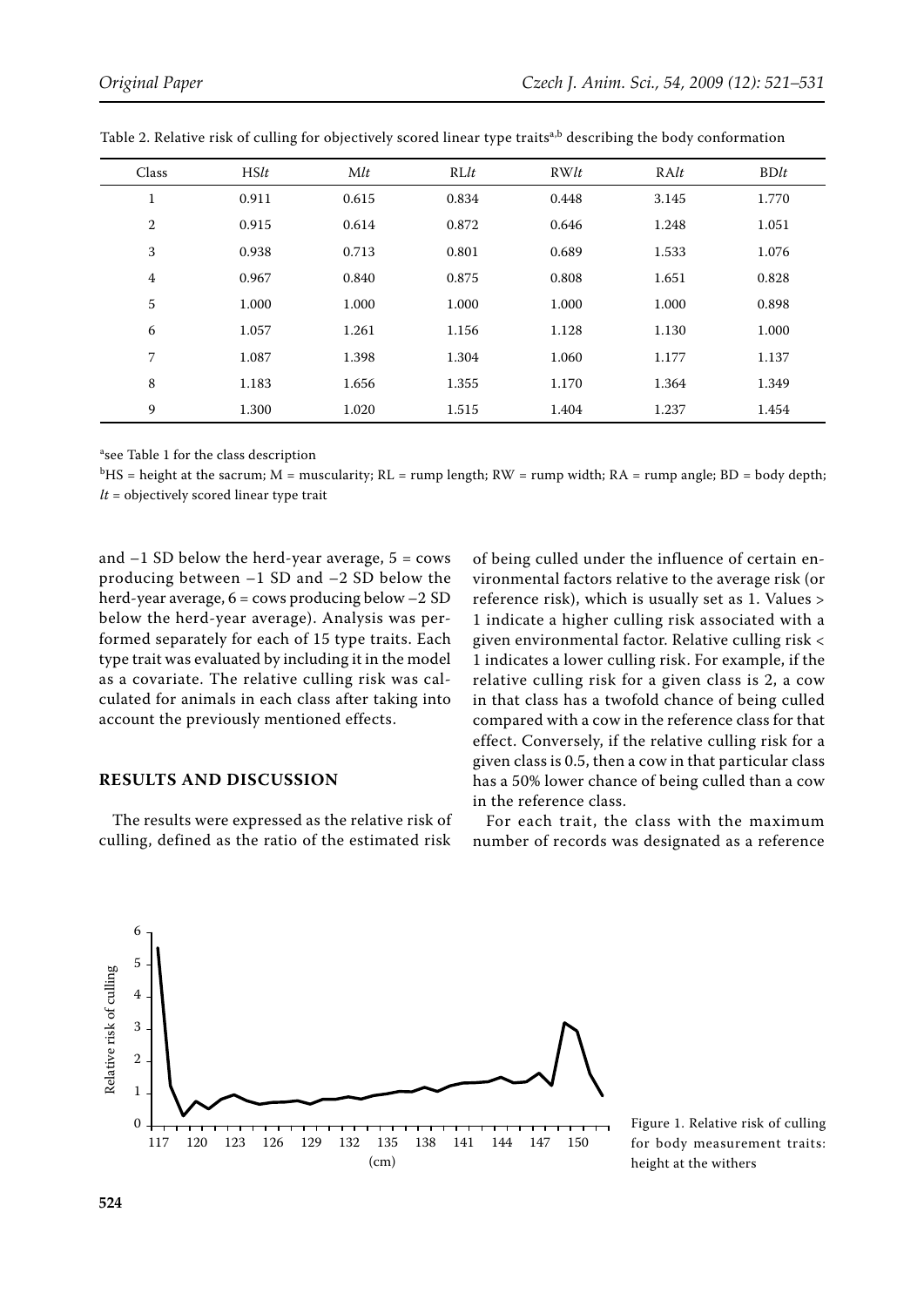| Class          | HSIt  | Mlt   | RLlt  | RWlt  | RAlt  | BDlt  |
|----------------|-------|-------|-------|-------|-------|-------|
| $\mathbf{1}$   | 0.911 | 0.615 | 0.834 | 0.448 | 3.145 | 1.770 |
| $\overline{2}$ | 0.915 | 0.614 | 0.872 | 0.646 | 1.248 | 1.051 |
| 3              | 0.938 | 0.713 | 0.801 | 0.689 | 1.533 | 1.076 |
| $\overline{4}$ | 0.967 | 0.840 | 0.875 | 0.808 | 1.651 | 0.828 |
| 5              | 1.000 | 1.000 | 1.000 | 1.000 | 1.000 | 0.898 |
| 6              | 1.057 | 1.261 | 1.156 | 1.128 | 1.130 | 1.000 |
| 7              | 1.087 | 1.398 | 1.304 | 1.060 | 1.177 | 1.137 |
| 8              | 1.183 | 1.656 | 1.355 | 1.170 | 1.364 | 1.349 |
| 9              | 1.300 | 1.020 | 1.515 | 1.404 | 1.237 | 1.454 |

Table 2. Relative risk of culling for objectively scored linear type traits<sup>a,b</sup> describing the body conformation

a see Table 1 for the class description

 $B = b$  height at the sacrum; M = muscularity; RL = rump length; RW = rump width; RA = rump angle; BD = body depth; *lt* = objectively scored linear type trait

and  $-1$  SD below the herd-year average,  $5 = \text{cows}$ producing between –1 SD and –2 SD below the herd-year average,  $6 = \text{cows producing below} - 2 \text{ SD}$ below the herd-year average). Analysis was performed separately for each of 15 type traits. Each type trait was evaluated by including it in the model as a covariate. The relative culling risk was calculated for animals in each class after taking into account the previously mentioned effects.

## **RESULTS AND DISCUSSION**

The results were expressed as the relative risk of culling, defined as the ratio of the estimated risk

of being culled under the influence of certain environmental factors relative to the average risk (or reference risk), which is usually set as 1. Values > 1 indicate a higher culling risk associated with a given environmental factor. Relative culling risk < 1 indicates a lower culling risk. For example, if the relative culling risk for a given class is 2, a cow in that class has a twofold chance of being culled compared with a cow in the reference class for that effect. Conversely, if the relative culling risk for a given class is 0.5, then a cow in that particular class has a 50% lower chance of being culled than a cow in the reference class.

For each trait, the class with the maximum number of records was designated as a reference



Figure 1. Relative risk of culling for body measurement traits: height at the withers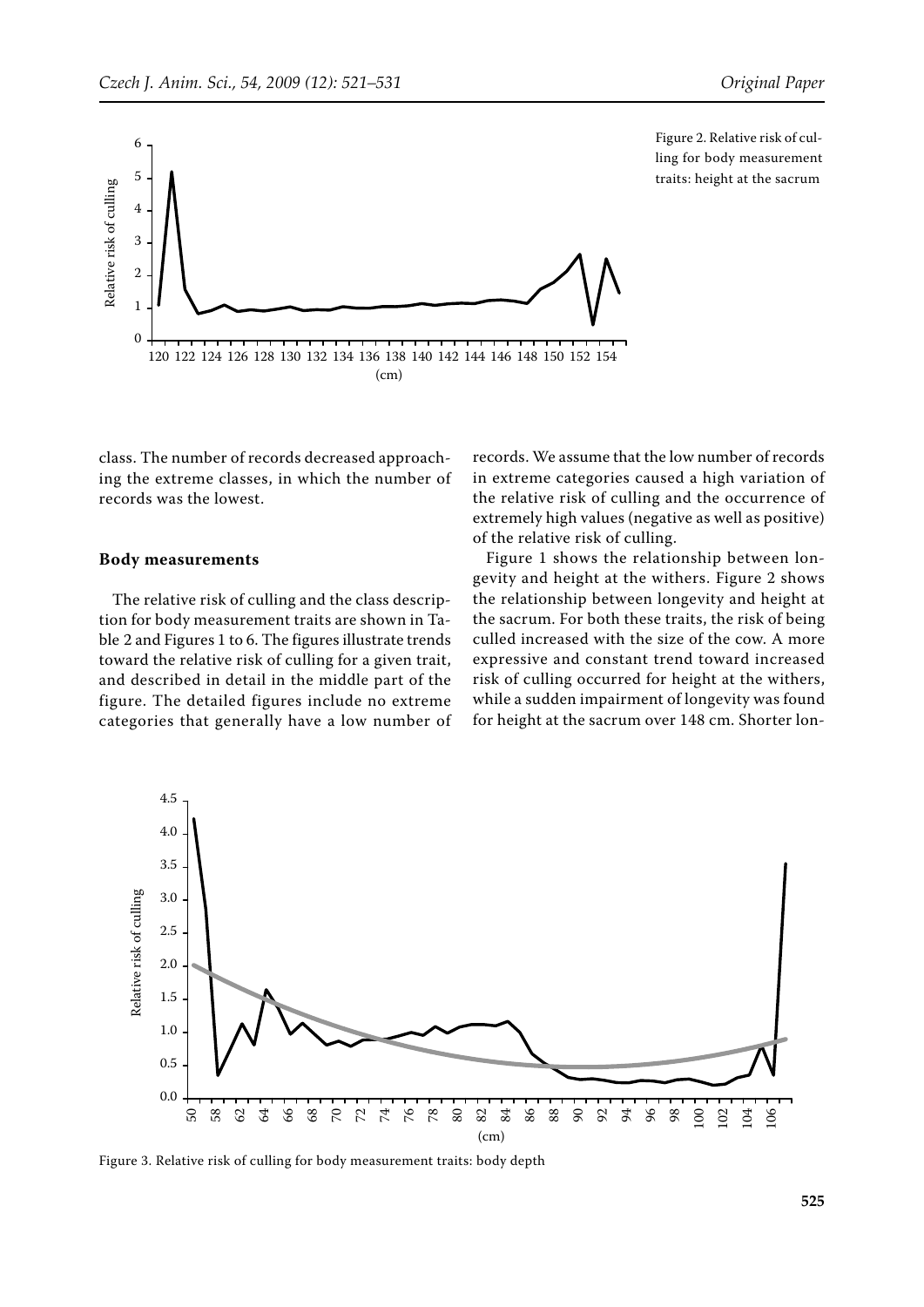

class. The number of records decreased approaching the extreme classes, in which the number of records was the lowest.

### **Body measurements**

The relative risk of culling and the class description for body measurement traits are shown in Table 2 and Figures 1 to 6. The figures illustrate trends toward the relative risk of culling for a given trait, and described in detail in the middle part of the figure. The detailed figures include no extreme categories that generally have a low number of

records. We assume that the low number of records in extreme categories caused a high variation of the relative risk of culling and the occurrence of extremely high values (negative as well as positive) of the relative risk of culling.

Figure 1 shows the relationship between longevity and height at the withers. Figure 2 shows the relationship between longevity and height at the sacrum. For both these traits, the risk of being culled increased with the size of the cow. A more expressive and constant trend toward increased risk of culling occurred for height at the withers, while a sudden impairment of longevity was found for height at the sacrum over 148 cm. Shorter lon-



Figure 3. Relative risk of culling for body measurement traits: body depth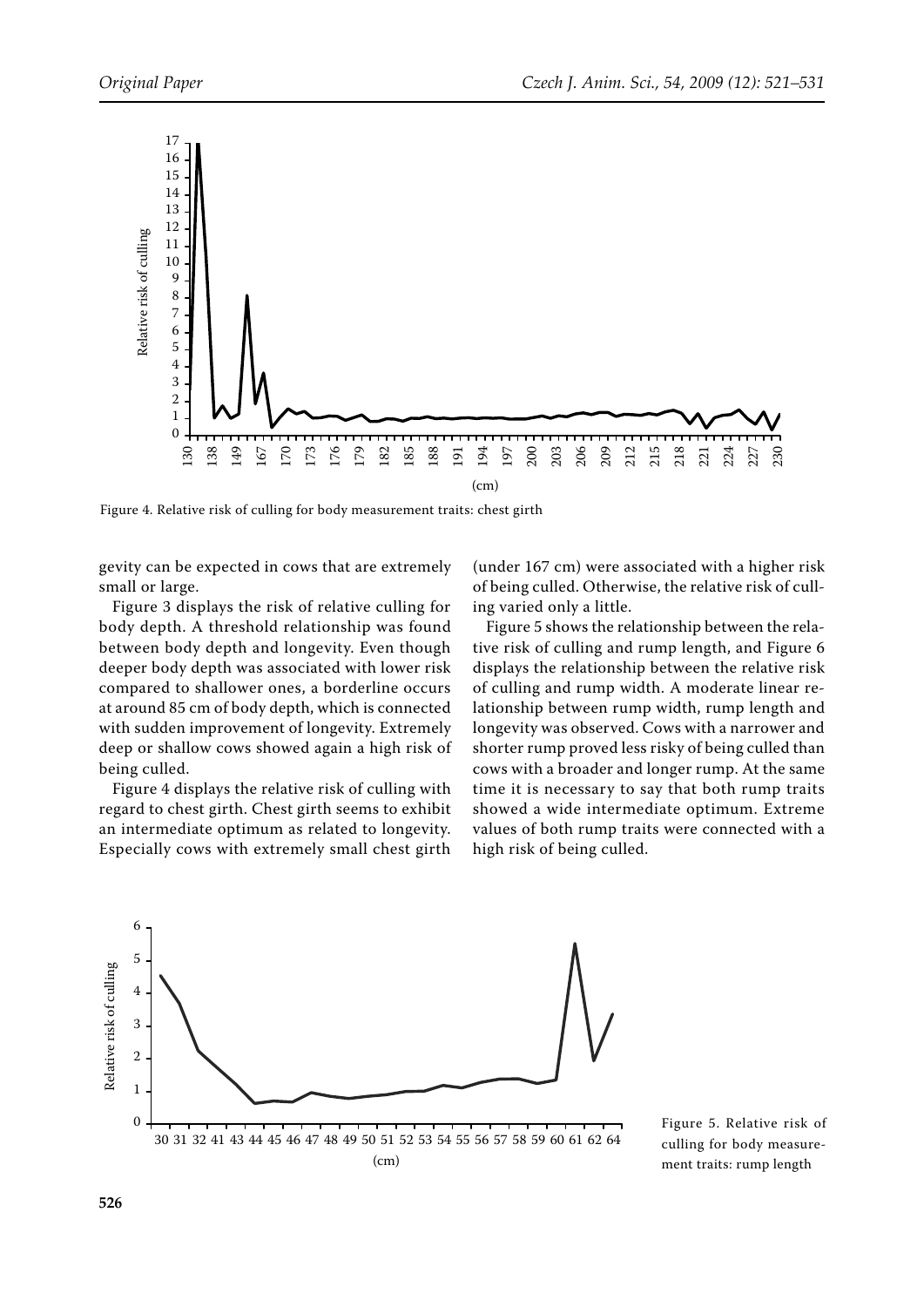

Figure 4. Relative risk of culling for body measurement traits: chest girth

gevity can be expected in cows that are extremely small or large.

Figure 3 displays the risk of relative culling for body depth. A threshold relationship was found between body depth and longevity. Even though deeper body depth was associated with lower risk compared to shallower ones, a borderline occurs at around 85 cm of body depth, which is connected with sudden improvement of longevity. Extremely deep or shallow cows showed again a high risk of being culled.

Figure 4 displays the relative risk of culling with regard to chest girth. Chest girth seems to exhibit an intermediate optimum as related to longevity. Especially cows with extremely small chest girth

(under 167 cm) were associated with a higher risk of being culled. Otherwise, the relative risk of culling varied only a little.

Figure 5 shows the relationship between the relative risk of culling and rump length, and Figure 6 displays the relationship between the relative risk of culling and rump width. A moderate linear relationship between rump width, rump length and longevity was observed. Cows with a narrower and shorter rump proved less risky of being culled than cows with a broader and longer rump. At the same time it is necessary to say that both rump traits showed a wide intermediate optimum. Extreme values of both rump traits were connected with a high risk of being culled.



Figure 5. Relative risk of culling for body measurement traits: rump length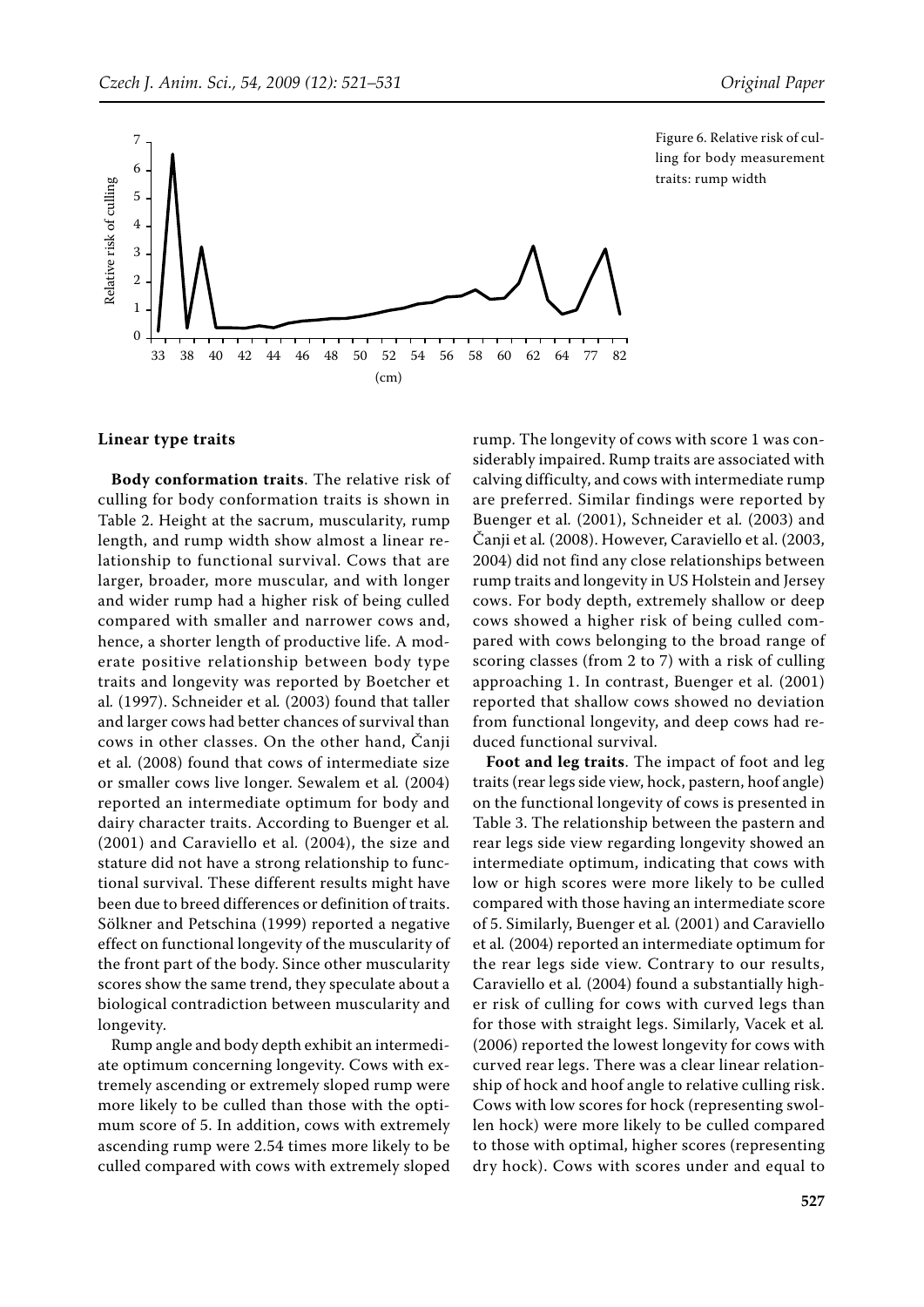

Figure 6. Relative risk of culling for body measurement traits: rump width

#### **Linear type traits**

**Body conformation traits**. The relative risk of culling for body conformation traits is shown in Table 2. Height at the sacrum, muscularity, rump length, and rump width show almost a linear relationship to functional survival. Cows that are larger, broader, more muscular, and with longer and wider rump had a higher risk of being culled compared with smaller and narrower cows and, hence, a shorter length of productive life. A moderate positive relationship between body type traits and longevity was reported by Boetcher et al*.* (1997). Schneider et al*.* (2003) found that taller and larger cows had better chances of survival than cows in other classes. On the other hand, Čanji et al*.* (2008) found that cows of intermediate size or smaller cows live longer. Sewalem et al*.* (2004) reported an intermediate optimum for body and dairy character traits. According to Buenger et al*.*  (2001) and Caraviello et al*.* (2004), the size and stature did not have a strong relationship to functional survival. These different results might have been due to breed differences or definition of traits. Sölkner and Petschina (1999) reported a negative effect on functional longevity of the muscularity of the front part of the body. Since other muscularity scores show the same trend, they speculate about a biological contradiction between muscularity and longevity.

Rump angle and body depth exhibit an intermediate optimum concerning longevity. Cows with extremely ascending or extremely sloped rump were more likely to be culled than those with the optimum score of 5. In addition, cows with extremely ascending rump were 2.54 times more likely to be culled compared with cows with extremely sloped rump. The longevity of cows with score 1 was considerably impaired. Rump traits are associated with calving difficulty, and cows with intermediate rump are preferred. Similar findings were reported by Buenger et al*.* (2001), Schneider et al*.* (2003) and Čanji et al*.* (2008). However, Caraviello et al. (2003, 2004) did not find any close relationships between rump traits and longevity in US Holstein and Jersey cows. For body depth, extremely shallow or deep cows showed a higher risk of being culled compared with cows belonging to the broad range of scoring classes (from 2 to 7) with a risk of culling approaching 1. In contrast, Buenger et al*.* (2001) reported that shallow cows showed no deviation from functional longevity, and deep cows had reduced functional survival.

**Foot and leg traits**. The impact of foot and leg traits (rear legs side view, hock, pastern, hoof angle) on the functional longevity of cows is presented in Table 3. The relationship between the pastern and rear legs side view regarding longevity showed an intermediate optimum, indicating that cows with low or high scores were more likely to be culled compared with those having an intermediate score of 5. Similarly, Buenger et al*.* (2001) and Caraviello et al*.* (2004) reported an intermediate optimum for the rear legs side view. Contrary to our results, Caraviello et al*.* (2004) found a substantially higher risk of culling for cows with curved legs than for those with straight legs. Similarly, Vacek et al*.* (2006) reported the lowest longevity for cows with curved rear legs. There was a clear linear relationship of hock and hoof angle to relative culling risk. Cows with low scores for hock (representing swollen hock) were more likely to be culled compared to those with optimal, higher scores (representing dry hock). Cows with scores under and equal to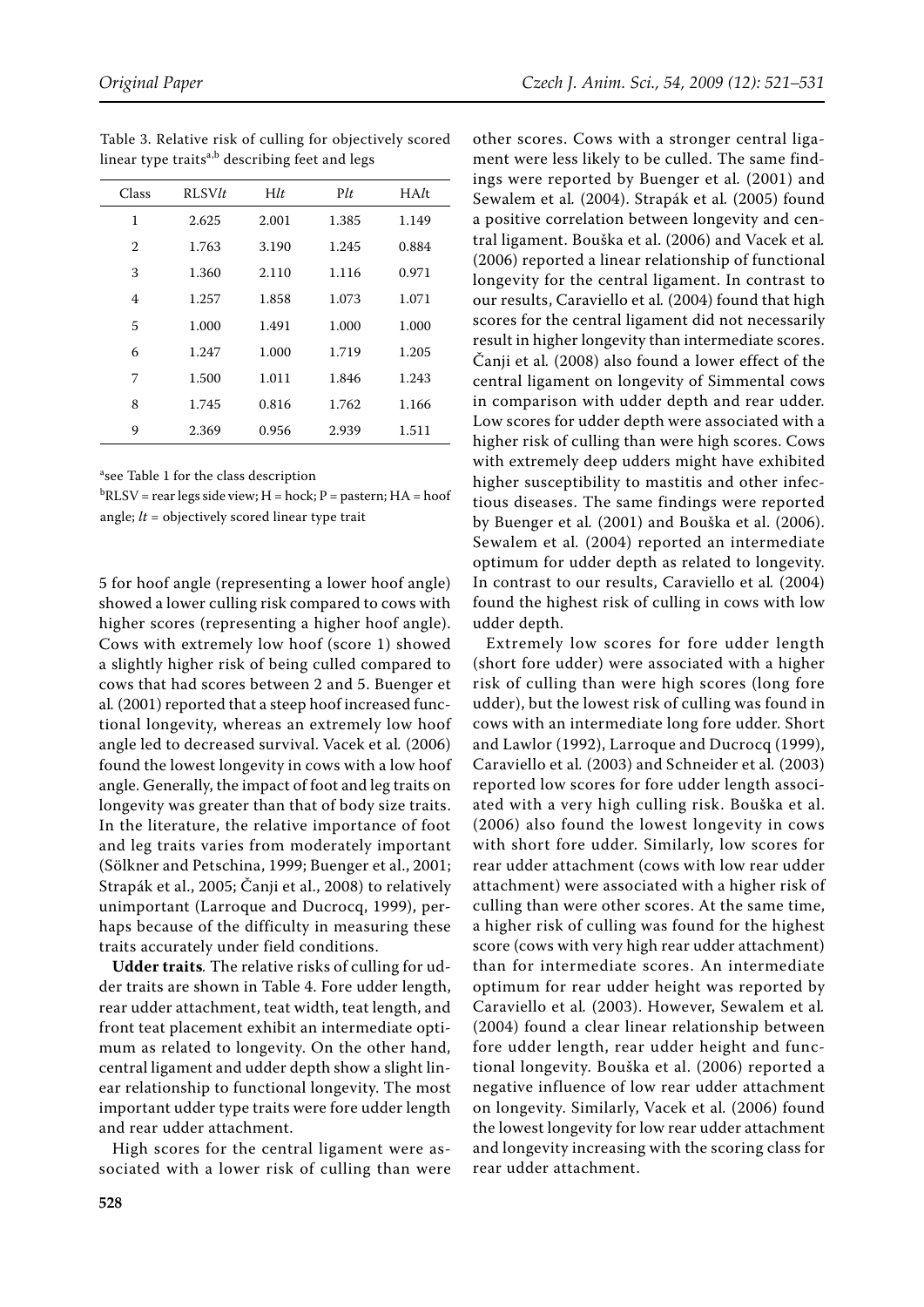| Class        | RLSVlt | Hlt   | Plt   | HA/t  |
|--------------|--------|-------|-------|-------|
| 1            | 2.625  | 2.001 | 1.385 | 1.149 |
| $\mathbf{2}$ | 1.763  | 3.190 | 1.245 | 0.884 |
| 3            | 1.360  | 2.110 | 1.116 | 0.971 |
| 4            | 1.257  | 1.858 | 1.073 | 1.071 |
| 5            | 1.000  | 1.491 | 1.000 | 1.000 |
| 6            | 1.247  | 1.000 | 1.719 | 1.205 |
| 7            | 1.500  | 1.011 | 1.846 | 1.243 |
| 8            | 1.745  | 0.816 | 1.762 | 1.166 |
| 9            | 2.369  | 0.956 | 2.939 | 1.511 |

Table 3. Relative risk of culling for objectively scored linear type traits<sup>a,b</sup> describing feet and legs

a see Table 1 for the class description

 ${}^{\text{b}}$ RLSV = rear legs side view; H = hock; P = pastern; HA = hoof angle; *lt* = objectively scored linear type trait

5 for hoof angle (representing a lower hoof angle) showed a lower culling risk compared to cows with higher scores (representing a higher hoof angle). Cows with extremely low hoof (score 1) showed a slightly higher risk of being culled compared to cows that had scores between 2 and 5. Buenger et al*.* (2001) reported that a steep hoof increased functional longevity, whereas an extremely low hoof angle led to decreased survival. Vacek et al*.* (2006) found the lowest longevity in cows with a low hoof angle. Generally, the impact of foot and leg traits on longevity was greater than that of body size traits. In the literature, the relative importance of foot and leg traits varies from moderately important (Sölkner and Petschina, 1999; Buenger et al., 2001; Strapák et al., 2005; Čanji et al., 2008) to relatively unimportant (Larroque and Ducrocq, 1999), perhaps because of the difficulty in measuring these traits accurately under field conditions.

**Udder traits***.* The relative risks of culling for udder traits are shown in Table 4. Fore udder length, rear udder attachment, teat width, teat length, and front teat placement exhibit an intermediate optimum as related to longevity. On the other hand, central ligament and udder depth show a slight linear relationship to functional longevity. The most important udder type traits were fore udder length and rear udder attachment.

High scores for the central ligament were associated with a lower risk of culling than were

other scores. Cows with a stronger central ligament were less likely to be culled. The same findings were reported by Buenger et al*.* (2001) and Sewalem et al*.* (2004). Strapák et al*.* (2005) found a positive correlation between longevity and central ligament. Bouška et al. (2006) and Vacek et al*.* (2006) reported a linear relationship of functional longevity for the central ligament. In contrast to our results, Caraviello et al*.* (2004) found that high scores for the central ligament did not necessarily result in higher longevity than intermediate scores. Čanji et al*.* (2008) also found a lower effect of the central ligament on longevity of Simmental cows in comparison with udder depth and rear udder. Low scores for udder depth were associated with a higher risk of culling than were high scores. Cows with extremely deep udders might have exhibited higher susceptibility to mastitis and other infectious diseases. The same findings were reported by Buenger et al*.* (2001) and Bouška et al. (2006). Sewalem et al*.* (2004) reported an intermediate optimum for udder depth as related to longevity. In contrast to our results, Caraviello et al*.* (2004) found the highest risk of culling in cows with low udder depth.

Extremely low scores for fore udder length (short fore udder) were associated with a higher risk of culling than were high scores (long fore udder), but the lowest risk of culling was found in cows with an intermediate long fore udder. Short and Lawlor (1992), Larroque and Ducrocq (1999), Caraviello et al*.* (2003) and Schneider et al*.* (2003) reported low scores for fore udder length associated with a very high culling risk. Bouška et al. (2006) also found the lowest longevity in cows with short fore udder. Similarly, low scores for rear udder attachment (cows with low rear udder attachment) were associated with a higher risk of culling than were other scores. At the same time, a higher risk of culling was found for the highest score (cows with very high rear udder attachment) than for intermediate scores. An intermediate optimum for rear udder height was reported by Caraviello et al*.* (2003). However, Sewalem et al*.* (2004) found a clear linear relationship between fore udder length, rear udder height and functional longevity. Bouška et al. (2006) reported a negative influence of low rear udder attachment on longevity. Similarly, Vacek et al*.* (2006) found the lowest longevity for low rear udder attachment and longevity increasing with the scoring class for rear udder attachment.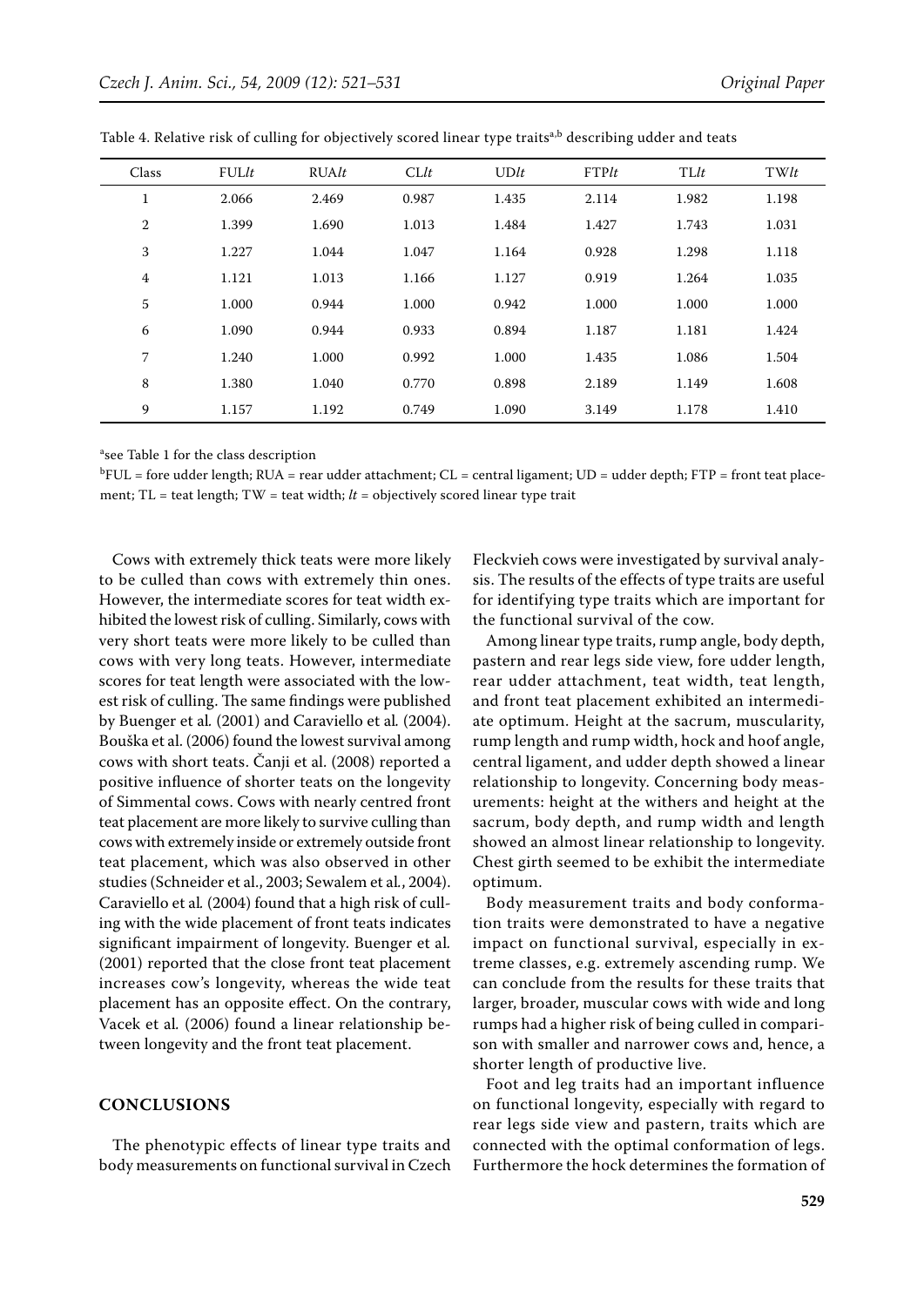| Class | FULlt | RUAlt | CLlt  | UDlt  | fTPlt | TLlt  | TWlt  |
|-------|-------|-------|-------|-------|-------|-------|-------|
| 1     | 2.066 | 2.469 | 0.987 | 1.435 | 2.114 | 1.982 | 1.198 |
| 2     | 1.399 | 1.690 | 1.013 | 1.484 | 1.427 | 1.743 | 1.031 |
| 3     | 1.227 | 1.044 | 1.047 | 1.164 | 0.928 | 1.298 | 1.118 |
| 4     | 1.121 | 1.013 | 1.166 | 1.127 | 0.919 | 1.264 | 1.035 |
| 5     | 1.000 | 0.944 | 1.000 | 0.942 | 1.000 | 1.000 | 1.000 |
| 6     | 1.090 | 0.944 | 0.933 | 0.894 | 1.187 | 1.181 | 1.424 |
| 7     | 1.240 | 1.000 | 0.992 | 1.000 | 1.435 | 1.086 | 1.504 |
| 8     | 1.380 | 1.040 | 0.770 | 0.898 | 2.189 | 1.149 | 1.608 |
| 9     | 1.157 | 1.192 | 0.749 | 1.090 | 3.149 | 1.178 | 1.410 |

Table 4. Relative risk of culling for objectively scored linear type traits<sup>a,b</sup> describing udder and teats

a see Table 1 for the class description

 $^{\rm b}$ FUL = fore udder length; RUA = rear udder attachment; CL = central ligament; UD = udder depth; FTP = front teat placement;  $TL = \text{teat length}$ ;  $TW = \text{teat width}$ ;  $lt = \text{objectively scored linear type trait}$ 

Cows with extremely thick teats were more likely to be culled than cows with extremely thin ones. However, the intermediate scores for teat width exhibited the lowest risk of culling. Similarly, cows with very short teats were more likely to be culled than cows with very long teats. However, intermediate scores for teat length were associated with the lowest risk of culling. The same findings were published by Buenger et al*.* (2001) and Caraviello et al*.* (2004). Bouška et al. (2006) found the lowest survival among cows with short teats. Čanji et al. (2008) reported a positive influence of shorter teats on the longevity of Simmental cows. Cows with nearly centred front teat placement are more likely to survive culling than cows with extremely inside or extremely outside front teat placement, which was also observed in other studies (Schneider et al., 2003; Sewalem et al*.*, 2004). Caraviello et al*.* (2004) found that a high risk of culling with the wide placement of front teats indicates significant impairment of longevity. Buenger et al*.* (2001) reported that the close front teat placement increases cow's longevity, whereas the wide teat placement has an opposite effect. On the contrary, Vacek et al*.* (2006) found a linear relationship between longevity and the front teat placement.

## **CONCLUSIONS**

The phenotypic effects of linear type traits and body measurements on functional survival in Czech Fleckvieh cows were investigated by survival analysis. The results of the effects of type traits are useful for identifying type traits which are important for the functional survival of the cow.

Among linear type traits, rump angle, body depth, pastern and rear legs side view, fore udder length, rear udder attachment, teat width, teat length, and front teat placement exhibited an intermediate optimum. Height at the sacrum, muscularity, rump length and rump width, hock and hoof angle, central ligament, and udder depth showed a linear relationship to longevity. Concerning body measurements: height at the withers and height at the sacrum, body depth, and rump width and length showed an almost linear relationship to longevity. Chest girth seemed to be exhibit the intermediate optimum.

Body measurement traits and body conformation traits were demonstrated to have a negative impact on functional survival, especially in extreme classes, e.g. extremely ascending rump. We can conclude from the results for these traits that larger, broader, muscular cows with wide and long rumps had a higher risk of being culled in comparison with smaller and narrower cows and, hence, a shorter length of productive live.

Foot and leg traits had an important influence on functional longevity, especially with regard to rear legs side view and pastern, traits which are connected with the optimal conformation of legs. Furthermore the hock determines the formation of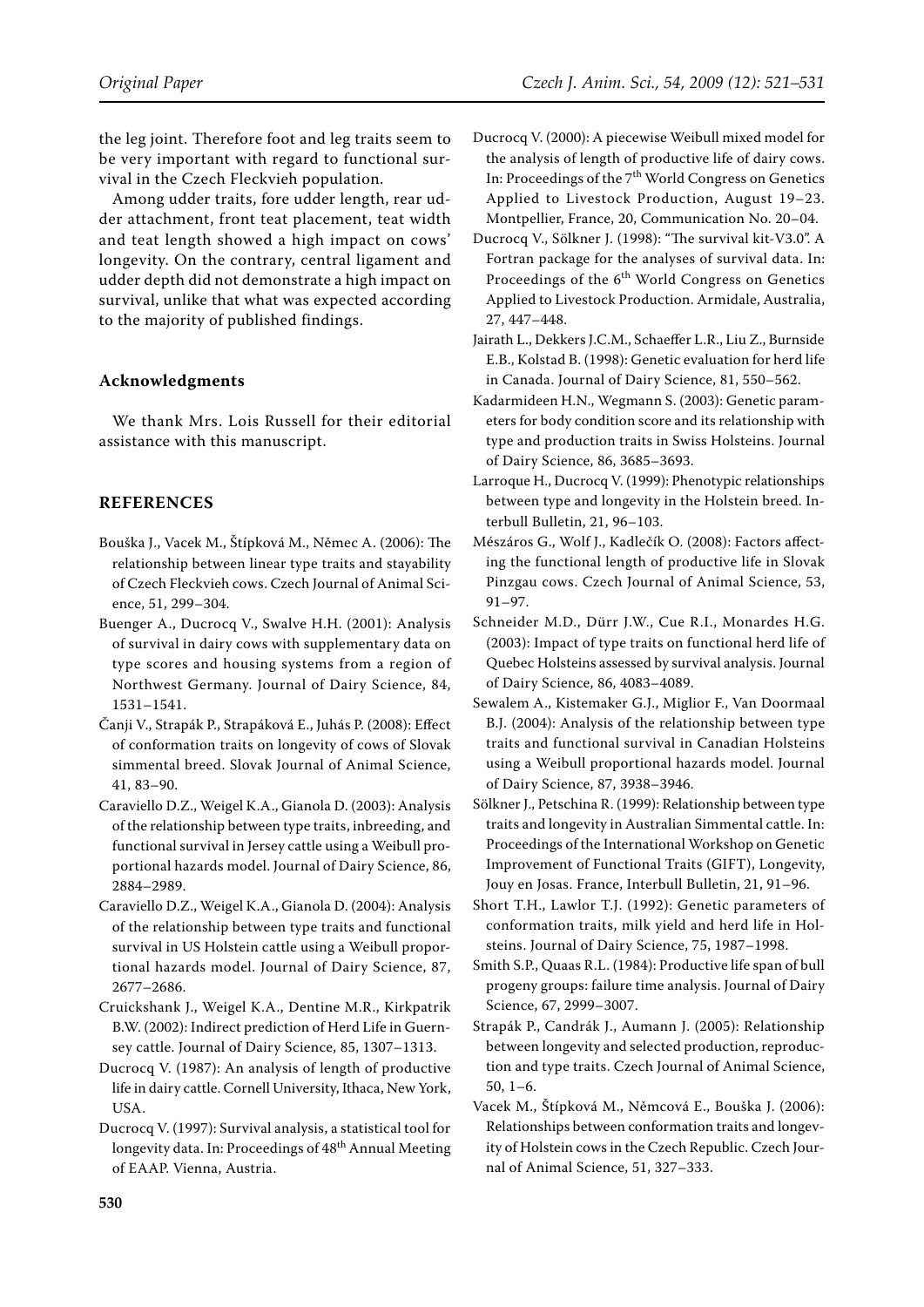the leg joint. Therefore foot and leg traits seem to be very important with regard to functional survival in the Czech Fleckvieh population.

Among udder traits, fore udder length, rear udder attachment, front teat placement, teat width and teat length showed a high impact on cows' longevity. On the contrary, central ligament and udder depth did not demonstrate a high impact on survival, unlike that what was expected according to the majority of published findings.

# **Acknowledgments**

We thank Mrs. Lois Russell for their editorial assistance with this manuscript.

# **REFERENCES**

- Bouška J., Vacek M., Štípková M., Němec A. (2006): The relationship between linear type traits and stayability of Czech Fleckvieh cows. Czech Journal of Animal Science, 51, 299–304.
- Buenger A., Ducrocq V., Swalve H.H. (2001): Analysis of survival in dairy cows with supplementary data on type scores and housing systems from a region of Northwest Germany. Journal of Dairy Science, 84, 1531–1541.
- Čanji V., Strapák P., Strapáková E., Juhás P. (2008): Effect of conformation traits on longevity of cows of Slovak simmental breed. Slovak Journal of Animal Science, 41, 83–90.
- Caraviello D.Z., Weigel K.A., Gianola D. (2003): Analysis of the relationship between type traits, inbreeding, and functional survival in Jersey cattle using a Weibull proportional hazards model. Journal of Dairy Science, 86, 2884–2989.
- Caraviello D.Z., Weigel K.A., Gianola D. (2004): Analysis of the relationship between type traits and functional survival in US Holstein cattle using a Weibull proportional hazards model. Journal of Dairy Science, 87, 2677–2686.
- Cruickshank J., Weigel K.A., Dentine M.R., Kirkpatrik B.W. (2002): Indirect prediction of Herd Life in Guernsey cattle. Journal of Dairy Science, 85, 1307–1313.
- Ducrocq V. (1987): An analysis of length of productive life in dairy cattle. Cornell University, Ithaca, New York, USA.
- Ducrocq V. (1997): Survival analysis, a statistical tool for longevity data. In: Proceedings of 48<sup>th</sup> Annual Meeting of EAAP. Vienna, Austria.
- Ducrocq V. (2000): A piecewise Weibull mixed model for the analysis of length of productive life of dairy cows. In: Proceedings of the  $7<sup>th</sup>$  World Congress on Genetics Applied to Livestock Production, August 19–23. Montpellier, France, 20, Communication No. 20–04.
- Ducrocq V., Sölkner J. (1998): "The survival kit-V3.0". A Fortran package for the analyses of survival data. In: Proceedings of the 6<sup>th</sup> World Congress on Genetics Applied to Livestock Production. Armidale, Australia, 27, 447–448.
- Jairath L., Dekkers J.C.M., Schaeffer L.R., Liu Z., Burnside E.B., Kolstad B. (1998): Genetic evaluation for herd life in Canada. Journal of Dairy Science, 81, 550–562.
- Kadarmideen H.N., Wegmann S. (2003): Genetic parameters for body condition score and its relationship with type and production traits in Swiss Holsteins. Journal of Dairy Science, 86, 3685–3693.
- Larroque H., Ducrocq V. (1999): Phenotypic relationships between type and longevity in the Holstein breed. Interbull Bulletin, 21, 96–103.
- Mészáros G., Wolf J., Kadlečík O. (2008): Factors affecting the functional length of productive life in Slovak Pinzgau cows. Czech Journal of Animal Science, 53, 91–97.
- Schneider M.D., Dürr J.W., Cue R.I., Monardes H.G. (2003): Impact of type traits on functional herd life of Quebec Holsteins assessed by survival analysis. Journal of Dairy Science, 86, 4083–4089.
- Sewalem A., Kistemaker G.J., Miglior F., Van Doormaal B.J. (2004): Analysis of the relationship between type traits and functional survival in Canadian Holsteins using a Weibull proportional hazards model. Journal of Dairy Science, 87, 3938–3946.
- Sölkner J., Petschina R. (1999): Relationship between type traits and longevity in Australian Simmental cattle. In: Proceedings of the International Workshop on Genetic Improvement of Functional Traits (GIFT), Longevity, Jouy en Josas. France, Interbull Bulletin, 21, 91–96.
- Short T.H., Lawlor T.J. (1992): Genetic parameters of conformation traits, milk yield and herd life in Holsteins. Journal of Dairy Science, 75, 1987–1998.
- Smith S.P., Quaas R.L. (1984): Productive life span of bull progeny groups: failure time analysis. Journal of Dairy Science, 67, 2999–3007.
- Strapák P., Candrák J., Aumann J. (2005): Relationship between longevity and selected production, reproduction and type traits. Czech Journal of Animal Science, 50, 1–6.
- Vacek M., Štípková M., Němcová E., Bouška J. (2006): Relationships between conformation traits and longevity of Holstein cows in the Czech Republic. Czech Journal of Animal Science, 51, 327–333.